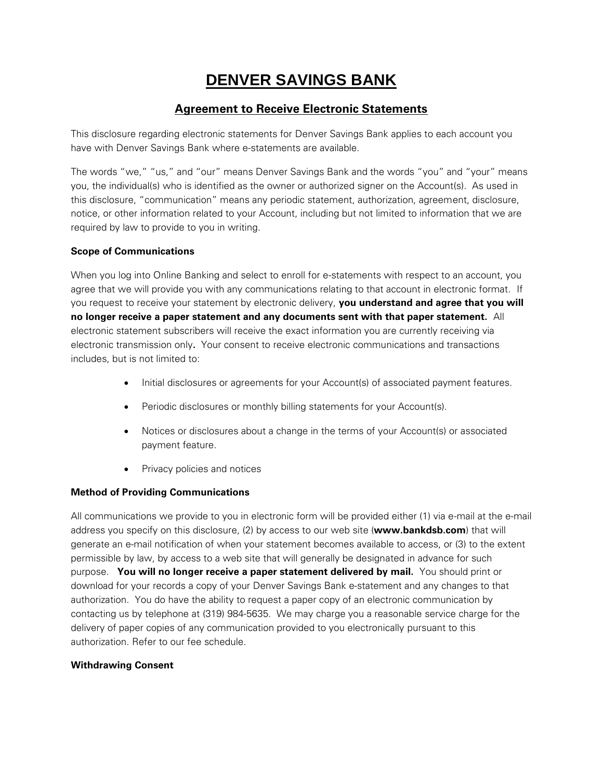# **DENVER SAVINGS BANK**

## **Agreement to Receive Electronic Statements**

This disclosure regarding electronic statements for Denver Savings Bank applies to each account you have with Denver Savings Bank where e-statements are available.

The words "we," "us," and "our" means Denver Savings Bank and the words "you" and "your" means you, the individual(s) who is identified as the owner or authorized signer on the Account(s). As used in this disclosure, "communication" means any periodic statement, authorization, agreement, disclosure, notice, or other information related to your Account, including but not limited to information that we are required by law to provide to you in writing.

#### **Scope of Communications**

When you log into Online Banking and select to enroll for e-statements with respect to an account, you agree that we will provide you with any communications relating to that account in electronic format. If you request to receive your statement by electronic delivery, **you understand and agree that you will no longer receive a paper statement and any documents sent with that paper statement.** All electronic statement subscribers will receive the exact information you are currently receiving via electronic transmission only**.** Your consent to receive electronic communications and transactions includes, but is not limited to:

- $\bullet$  Initial disclosures or agreements for your Account(s) of associated payment features.
- Periodic disclosures or monthly billing statements for your Account(s).
- Notices or disclosures about a change in the terms of your Account(s) or associated payment feature.
- Privacy policies and notices

#### **Method of Providing Communications**

All communications we provide to you in electronic form will be provided either (1) via e-mail at the e-mail address you specify on this disclosure, (2) by access to our web site (**www.bankdsb.com**) that will generate an e-mail notification of when your statement becomes available to access, or (3) to the extent permissible by law, by access to a web site that will generally be designated in advance for such purpose. **You will no longer receive a paper statement delivered by mail.** You should print or download for your records a copy of your Denver Savings Bank e-statement and any changes to that authorization. You do have the ability to request a paper copy of an electronic communication by contacting us by telephone at (319) 984-5635. We may charge you a reasonable service charge for the delivery of paper copies of any communication provided to you electronically pursuant to this authorization. Refer to our fee schedule.

#### **Withdrawing Consent**